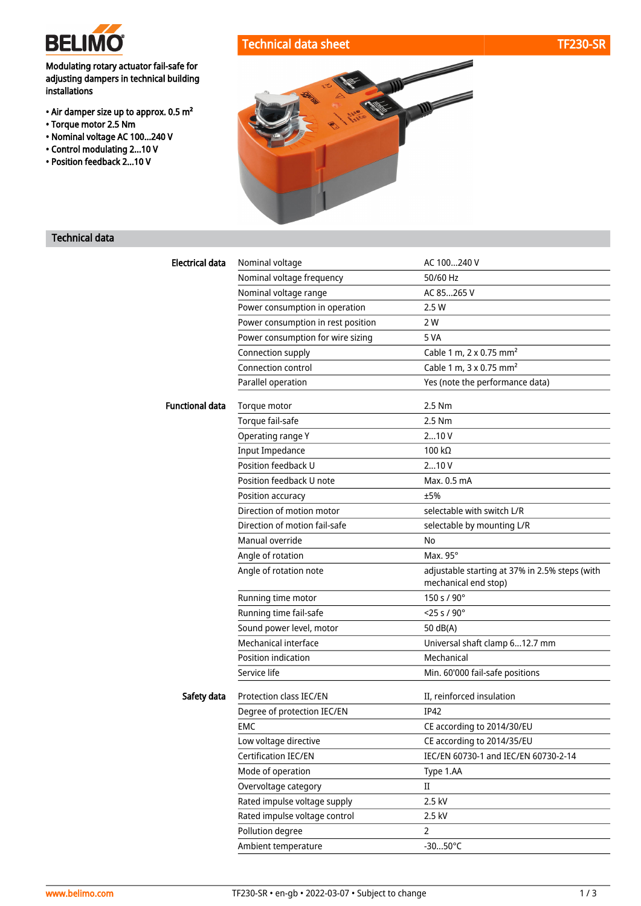

Modulating rotary actuator fail-safe for adjusting dampers in technical building installations

- Air damper size up to approx. 0.5 m²
- Torque motor 2.5 Nm
- Nominal voltage AC 100...240 V
- Control modulating 2...10 V
- Position feedback 2...10 V





## Technical data

| <b>Electrical data</b> | Nominal voltage                    | AC 100240 V                                                            |
|------------------------|------------------------------------|------------------------------------------------------------------------|
|                        | Nominal voltage frequency          | 50/60 Hz                                                               |
|                        | Nominal voltage range              | AC 85265 V                                                             |
|                        | Power consumption in operation     | 2.5 W                                                                  |
|                        | Power consumption in rest position | 2 W                                                                    |
|                        | Power consumption for wire sizing  | 5 VA                                                                   |
|                        | Connection supply                  | Cable 1 m, 2 x 0.75 mm <sup>2</sup>                                    |
|                        | Connection control                 | Cable 1 m, 3 x 0.75 mm <sup>2</sup>                                    |
|                        | Parallel operation                 | Yes (note the performance data)                                        |
| <b>Functional data</b> | Torque motor                       | 2.5 Nm                                                                 |
|                        | Torque fail-safe                   | 2.5 Nm                                                                 |
|                        | Operating range Y                  | 210V                                                                   |
|                        | <b>Input Impedance</b>             | 100 $k\Omega$                                                          |
|                        | Position feedback U                | 210V                                                                   |
|                        | Position feedback U note           | Max. 0.5 mA                                                            |
|                        | Position accuracy                  | ±5%                                                                    |
|                        | Direction of motion motor          | selectable with switch L/R                                             |
|                        | Direction of motion fail-safe      | selectable by mounting L/R                                             |
|                        | Manual override                    | No                                                                     |
|                        | Angle of rotation                  | Max. 95°                                                               |
|                        | Angle of rotation note             | adjustable starting at 37% in 2.5% steps (with<br>mechanical end stop) |
|                        | Running time motor                 | 150 s / 90°                                                            |
|                        | Running time fail-safe             | $<$ 25 s / 90 $^{\circ}$                                               |
|                        | Sound power level, motor           | 50 dB(A)                                                               |
|                        | Mechanical interface               | Universal shaft clamp 612.7 mm                                         |
|                        | Position indication                | Mechanical                                                             |
|                        | Service life                       | Min. 60'000 fail-safe positions                                        |
| Safety data            | Protection class IEC/EN            | II, reinforced insulation                                              |
|                        | Degree of protection IEC/EN        | <b>IP42</b>                                                            |
|                        | <b>FMC</b>                         | CE according to 2014/30/EU                                             |
|                        | Low voltage directive              | CE according to 2014/35/EU                                             |
|                        | Certification IEC/EN               | IEC/EN 60730-1 and IEC/EN 60730-2-14                                   |
|                        | Mode of operation                  | Type 1.AA                                                              |
|                        | Overvoltage category               | $\mathbf{I}$                                                           |
|                        | Rated impulse voltage supply       | 2.5 kV                                                                 |
|                        | Rated impulse voltage control      | 2.5 kV                                                                 |
|                        | Pollution degree                   | $\overline{2}$                                                         |
|                        | Ambient temperature                | $-3050^{\circ}C$                                                       |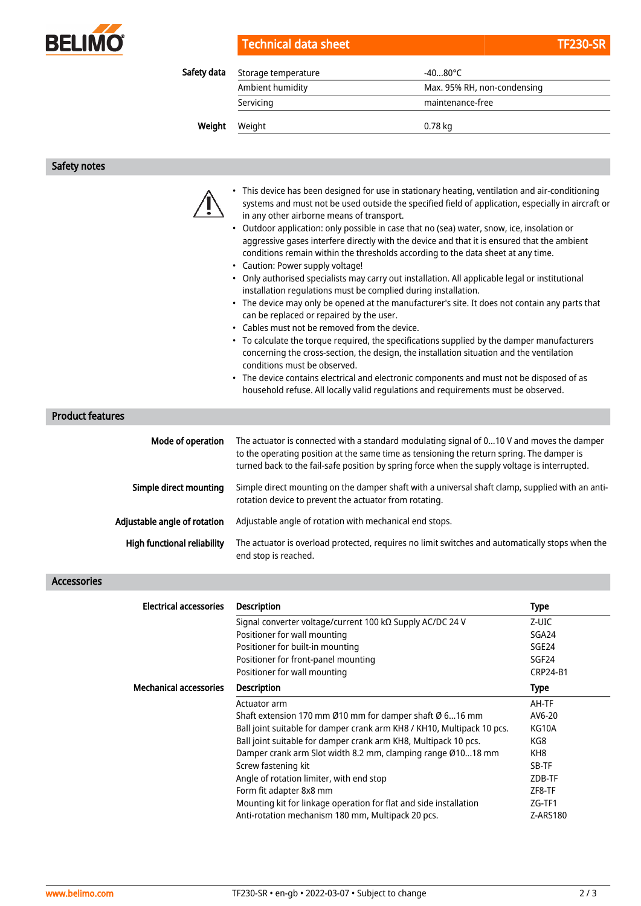

| Technical data sheet | <b>TF230-SR</b> |
|----------------------|-----------------|
|----------------------|-----------------|

| Safety data | Storage temperature | $-4080^{\circ}$ C           |  |
|-------------|---------------------|-----------------------------|--|
|             | Ambient humidity    | Max. 95% RH, non-condensing |  |
|             | Servicing           | maintenance-free            |  |
| Weight      | Weight              | 0.78 kg                     |  |

### Safety notes



- This device has been designed for use in stationary heating, ventilation and air-conditioning systems and must not be used outside the specified field of application, especially in aircraft or in any other airborne means of transport.
- Outdoor application: only possible in case that no (sea) water, snow, ice, insolation or aggressive gases interfere directly with the device and that it is ensured that the ambient conditions remain within the thresholds according to the data sheet at any time.
- Caution: Power supply voltage!
- Only authorised specialists may carry out installation. All applicable legal or institutional installation regulations must be complied during installation.
- The device may only be opened at the manufacturer's site. It does not contain any parts that can be replaced or repaired by the user.
- Cables must not be removed from the device.
- To calculate the torque required, the specifications supplied by the damper manufacturers concerning the cross-section, the design, the installation situation and the ventilation conditions must be observed.
- The device contains electrical and electronic components and must not be disposed of as household refuse. All locally valid regulations and requirements must be observed.

## Product features

| Mode of operation                  | The actuator is connected with a standard modulating signal of 010 V and moves the damper<br>to the operating position at the same time as tensioning the return spring. The damper is<br>turned back to the fail-safe position by spring force when the supply voltage is interrupted. |
|------------------------------------|-----------------------------------------------------------------------------------------------------------------------------------------------------------------------------------------------------------------------------------------------------------------------------------------|
| Simple direct mounting             | Simple direct mounting on the damper shaft with a universal shaft clamp, supplied with an anti-<br>rotation device to prevent the actuator from rotating.                                                                                                                               |
| Adjustable angle of rotation       | Adjustable angle of rotation with mechanical end stops.                                                                                                                                                                                                                                 |
| <b>High functional reliability</b> | The actuator is overload protected, requires no limit switches and automatically stops when the<br>end stop is reached.                                                                                                                                                                 |

#### Accessories

| <b>Electrical accessories</b> | <b>Description</b>                                                     | <b>Type</b>       |
|-------------------------------|------------------------------------------------------------------------|-------------------|
|                               | Signal converter voltage/current 100 kΩ Supply AC/DC 24 V              | Z-UIC             |
|                               | Positioner for wall mounting                                           | SGA24             |
|                               | Positioner for built-in mounting                                       | SGE24             |
|                               | Positioner for front-panel mounting                                    | SGF <sub>24</sub> |
|                               | Positioner for wall mounting                                           | <b>CRP24-B1</b>   |
| <b>Mechanical accessories</b> | <b>Description</b>                                                     | <b>Type</b>       |
|                               | Actuator arm                                                           | AH-TF             |
|                               | Shaft extension 170 mm Ø10 mm for damper shaft Ø 616 mm                | AV6-20            |
|                               | Ball joint suitable for damper crank arm KH8 / KH10, Multipack 10 pcs. | KG10A             |
|                               | Ball joint suitable for damper crank arm KH8, Multipack 10 pcs.        | KG8               |
|                               | Damper crank arm Slot width 8.2 mm, clamping range Ø1018 mm            | KH <sub>8</sub>   |
|                               | Screw fastening kit                                                    | SB-TF             |
|                               | Angle of rotation limiter, with end stop                               | ZDB-TF            |
|                               | Form fit adapter 8x8 mm                                                | ZF8-TF            |
|                               | Mounting kit for linkage operation for flat and side installation      | ZG-TF1            |
|                               | Anti-rotation mechanism 180 mm, Multipack 20 pcs.                      | Z-ARS180          |